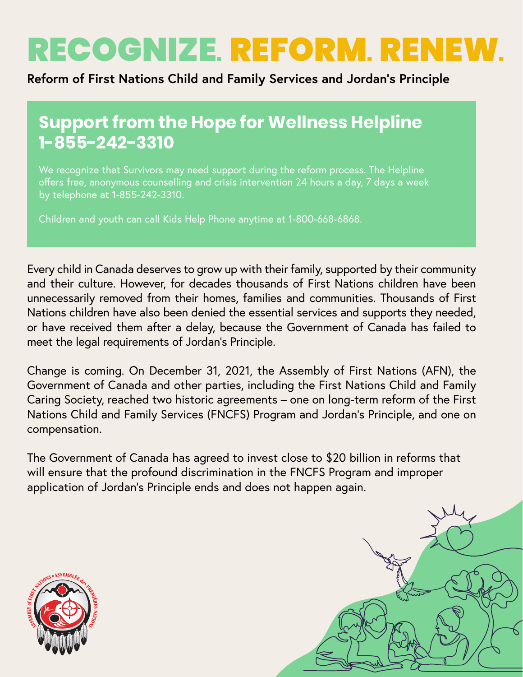# RECOGNIZE. REFORM. RENEW.

#### **Reform of First Nations Child and Family Services and Jordan's Principle**

### **Support from the Hope for Wellness Helpline 1-855-242-3310**

We recognize that Survivors may need support during the reform process. The Helpline offers free, anonymous counselling and crisis intervention 24 hours a day, 7 days a week by telephone at 1-855-242-3310.

Children and youth can call Kids Help Phone anytime at 1-800-668-6868.

Every child in Canada deserves to grow up with their family, supported by their community and their culture. However, for decades thousands of First Nations children have been unnecessarily removed from their homes, families and communities. Thousands of First Nations children have also been denied the essential services and supports they needed, or have received them after a delay, because the Government of Canada has failed to meet the legal requirements of Jordan's Principle.

Change is coming. On December 31, 2021, the Assembly of First Nations (AFN), the Government of Canada and other parties, including the First Nations Child and Family Caring Society, reached two historic agreements – one on long-term reform of the First Nations Child and Family Services (FNCFS) Program and Jordan's Principle, and one on compensation.

The Government of Canada has agreed to invest close to \$20 billion in reforms that will ensure that the profound discrimination in the FNCFS Program and improper application of Jordan's Principle ends and does not happen again.



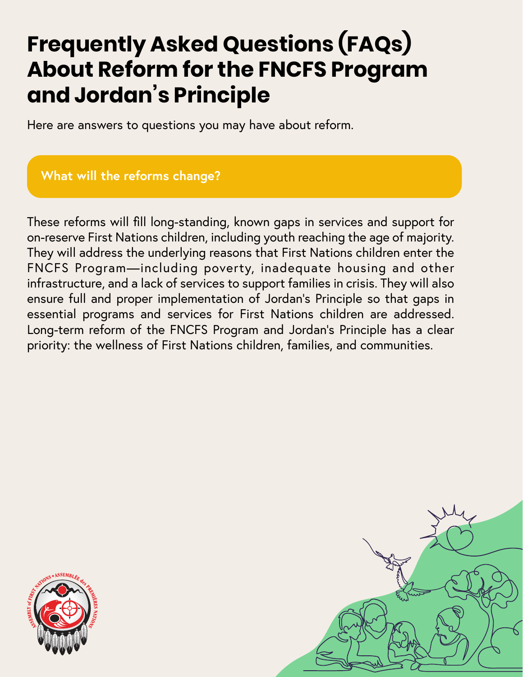## **Frequently Asked Questions (FAQs) About Reform for the FNCFS Program and Jordan's Principle**

Here are answers to questions you may have about reform.

#### **What will the reforms change?**

These reforms will fill long-standing, known gaps in services and support for on-reserve First Nations children, including youth reaching the age of majority. They will address the underlying reasons that First Nations children enter the FNCFS Program—including poverty, inadequate housing and other infrastructure, and a lack of services to support families in crisis. They will also ensure full and proper implementation of Jordan's Principle so that gaps in essential programs and services for First Nations children are addressed. Long-term reform of the FNCFS Program and Jordan's Principle has a clear priority: the wellness of First Nations children, families, and communities.



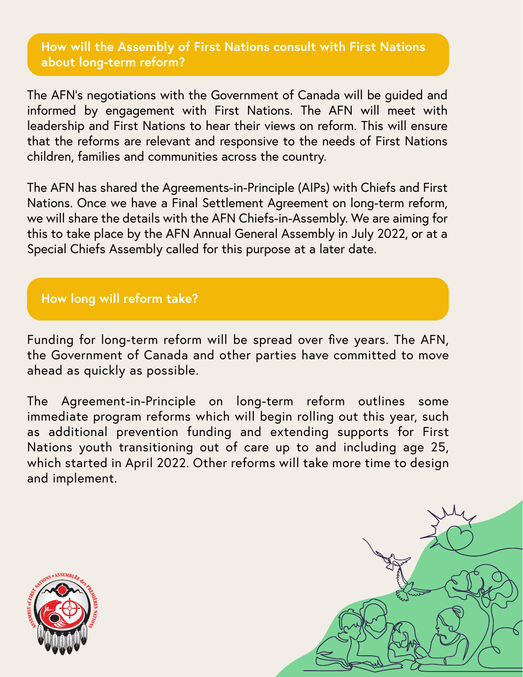#### **How will the Assembly of First Nations consult with First Nations about long-term reform?**

The AFN's negotiations with the Government of Canada will be guided and informed by engagement with First Nations. The AFN will meet with leadership and First Nations to hear their views on reform. This will ensure that the reforms are relevant and responsive to the needs of First Nations children, families and communities across the country.

The AFN has shared the Agreements-in-Principle (AIPs) with Chiefs and First Nations. Once we have a Final Settlement Agreement on long-term reform, we will share the details with the AFN Chiefs-in-Assembly. We are aiming for this to take place by the AFN Annual General Assembly in July 2022, or at a Special Chiefs Assembly called for this purpose at a later date.

#### **How long will reform take?**

Funding for long-term reform will be spread over five years. The AFN, the Government of Canada and other parties have committed to move ahead as quickly as possible.

The Agreement-in-Principle on long-term reform outlines some immediate program reforms which will begin rolling out this year, such as additional prevention funding and extending supports for First Nations youth transitioning out of care up to and including age 25, which started in April 2022. Other reforms will take more time to design and implement.



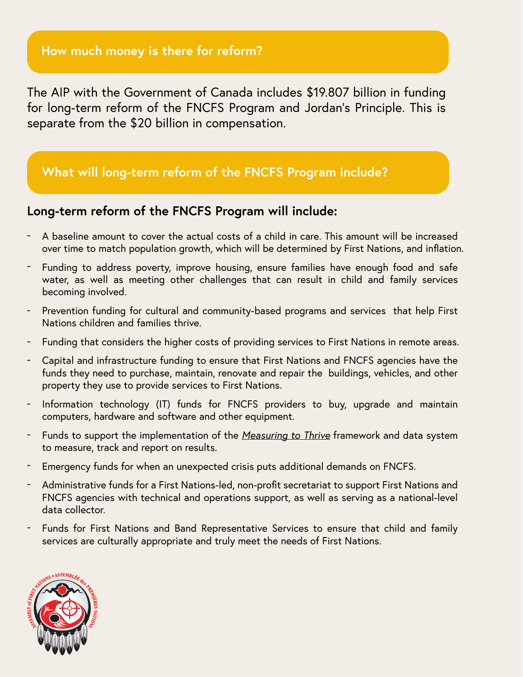The AIP with the Government of Canada includes \$19.807 billion in funding for long-term reform of the FNCFS Program and Jordan's Principle. This is separate from the \$20 billion in compensation.

#### **What will long-term reform of the FNCFS Program include?**

#### **Long-term reform of the FNCFS Program will include:**

- A baseline amount to cover the actual costs of a child in care. This amount will be increased over time to match population growth, which will be determined by First Nations, and inflation.
- Funding to address poverty, improve housing, ensure families have enough food and safe water, as well as meeting other challenges that can result in child and family services becoming involved.
- Prevention funding for cultural and community-based programs and services that help First Nations children and families thrive.
- Funding that considers the higher costs of providing services to First Nations in remote areas.
- Capital and infrastructure funding to ensure that First Nations and FNCFS agencies have the funds they need to purchase, maintain, renovate and repair the buildings, vehicles, and other property they use to provide services to First Nations.
- Information technology (IT) funds for FNCFS providers to buy, upgrade and maintain computers, hardware and software and other equipment.
- Funds to support the implementation of the *Measuring to Thrive* framework and data system to measure, track and report on results.
- Emergency funds for when an unexpected crisis puts additional demands on FNCFS.
- Administrative funds for a First Nations-led, non-profit secretariat to support First Nations and FNCFS agencies with technical and operations support, as well as serving as a national-level data collector.
- Funds for First Nations and Band Representative Services to ensure that child and family services are culturally appropriate and truly meet the needs of First Nations.